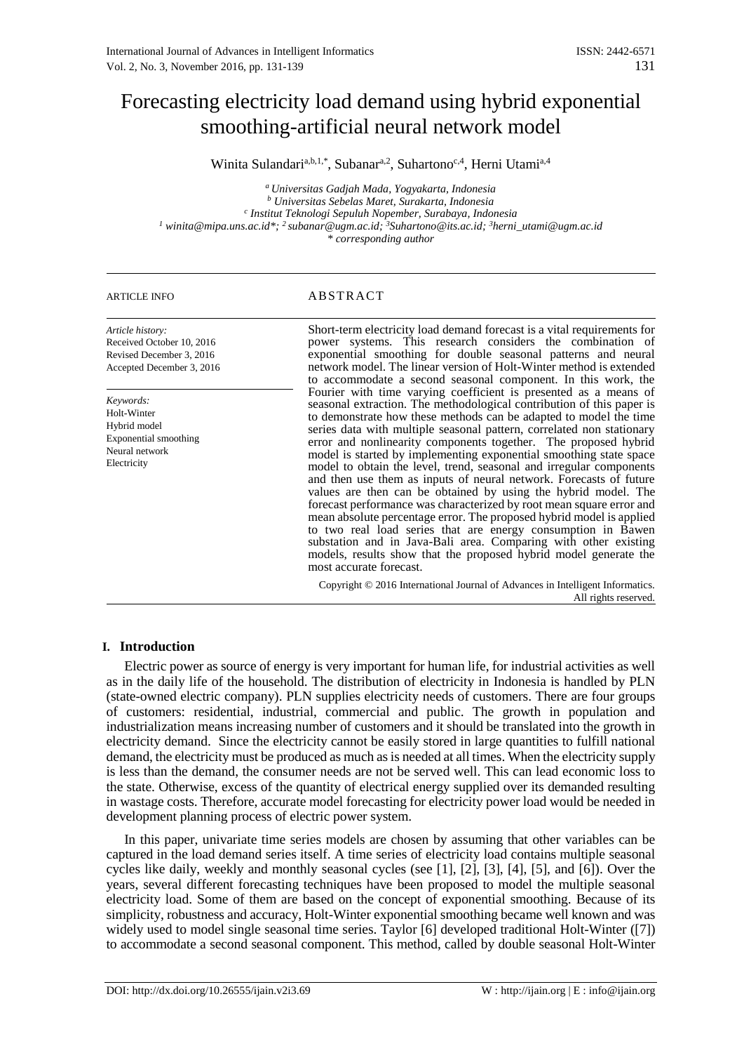# Forecasting electricity load demand using hybrid exponential smoothing-artificial neural network model

Winita Sulandari<sup>a,b,1,\*</sup>, Subanar<sup>a,2</sup>, Suhartono<sup>c,4</sup>, Herni Utami<sup>a,4</sup>

*<sup>a</sup> Universitas Gadjah Mada, Yogyakarta, Indonesia <sup>b</sup> Universitas Sebelas Maret, Surakarta, Indonesia c Institut Teknologi Sepuluh Nopember, Surabaya, Indonesia <sup>1</sup> winita@mipa.uns.ac.id\*; <sup>2</sup>subanar@ugm.ac.id; <sup>3</sup>Suhartono@its.ac.id; <sup>3</sup>herni\_utami@ugm.ac.id \* corresponding author*

# ARTICLE INFO ABSTRACT

*Article history:* Received October 10, 2016 Revised December 3, 2016 Accepted December 3, 2016

*Keywords:* Holt-Winter Hybrid model Exponential smoothing Neural network Electricity

Short-term electricity load demand forecast is a vital requirements for power systems. This research considers the combination of exponential smoothing for double seasonal patterns and neural network model. The linear version of Holt-Winter method is extended to accommodate a second seasonal component. In this work, the Fourier with time varying coefficient is presented as a means of seasonal extraction. The methodological contribution of this paper is to demonstrate how these methods can be adapted to model the time series data with multiple seasonal pattern, correlated non stationary error and nonlinearity components together. The proposed hybrid model is started by implementing exponential smoothing state space model to obtain the level, trend, seasonal and irregular components and then use them as inputs of neural network. Forecasts of future values are then can be obtained by using the hybrid model. The forecast performance was characterized by root mean square error and mean absolute percentage error. The proposed hybrid model is applied to two real load series that are energy consumption in Bawen substation and in Java-Bali area. Comparing with other existing models, results show that the proposed hybrid model generate the most accurate forecast.

Copyright © 2016 International Journal of Advances in Intelligent Informatics. All rights reserved.

# **I. Introduction**

Electric power as source of energy is very important for human life, for industrial activities as well as in the daily life of the household. The distribution of electricity in Indonesia is handled by PLN (state-owned electric company). PLN supplies electricity needs of customers. There are four groups of customers: residential, industrial, commercial and public. The growth in population and industrialization means increasing number of customers and it should be translated into the growth in electricity demand. Since the electricity cannot be easily stored in large quantities to fulfill national demand, the electricity must be produced as much as is needed at all times. When the electricity supply is less than the demand, the consumer needs are not be served well. This can lead economic loss to the state. Otherwise, excess of the quantity of electrical energy supplied over its demanded resulting in wastage costs. Therefore, accurate model forecasting for electricity power load would be needed in development planning process of electric power system.

In this paper, univariate time series models are chosen by assuming that other variables can be captured in the load demand series itself. A time series of electricity load contains multiple seasonal cycles like daily, weekly and monthly seasonal cycles (see [1], [2], [3], [4], [5], and [6]). Over the years, several different forecasting techniques have been proposed to model the multiple seasonal electricity load. Some of them are based on the concept of exponential smoothing. Because of its simplicity, robustness and accuracy, Holt-Winter exponential smoothing became well known and was widely used to model single seasonal time series. Taylor [6] developed traditional Holt-Winter ([7]) to accommodate a second seasonal component. This method, called by double seasonal Holt-Winter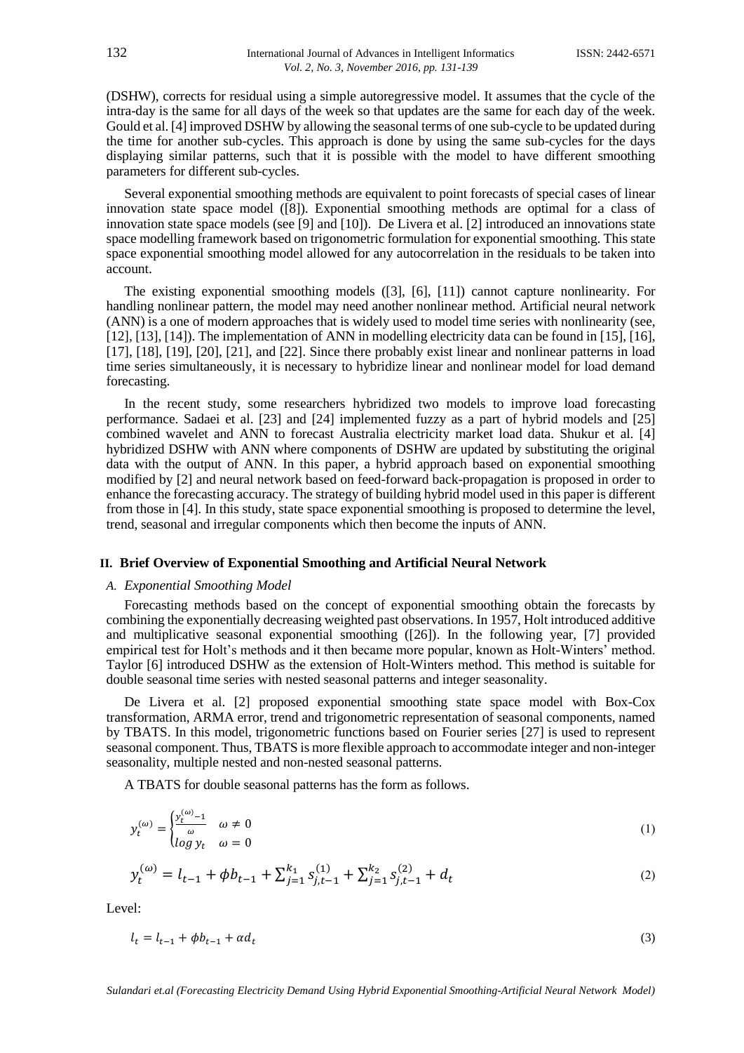(DSHW), corrects for residual using a simple autoregressive model. It assumes that the cycle of the intra-day is the same for all days of the week so that updates are the same for each day of the week. Gould et al. [4] improved DSHW by allowing the seasonal terms of one sub-cycle to be updated during the time for another sub-cycles. This approach is done by using the same sub-cycles for the days displaying similar patterns, such that it is possible with the model to have different smoothing parameters for different sub-cycles.

Several exponential smoothing methods are equivalent to point forecasts of special cases of linear innovation state space model ([8]). Exponential smoothing methods are optimal for a class of innovation state space models (see [9] and [10]). De Livera et al. [2] introduced an innovations state space modelling framework based on trigonometric formulation for exponential smoothing. This state space exponential smoothing model allowed for any autocorrelation in the residuals to be taken into account.

The existing exponential smoothing models ([3], [6], [11]) cannot capture nonlinearity. For handling nonlinear pattern, the model may need another nonlinear method. Artificial neural network (ANN) is a one of modern approaches that is widely used to model time series with nonlinearity (see, [12], [13], [14]). The implementation of ANN in modelling electricity data can be found in [15], [16], [17], [18], [19], [20], [21], and [22]. Since there probably exist linear and nonlinear patterns in load time series simultaneously, it is necessary to hybridize linear and nonlinear model for load demand forecasting.

In the recent study, some researchers hybridized two models to improve load forecasting performance. Sadaei et al. [23] and [24] implemented fuzzy as a part of hybrid models and [25] combined wavelet and ANN to forecast Australia electricity market load data. Shukur et al. [4] hybridized DSHW with ANN where components of DSHW are updated by substituting the original data with the output of ANN. In this paper, a hybrid approach based on exponential smoothing modified by [2] and neural network based on feed-forward back-propagation is proposed in order to enhance the forecasting accuracy. The strategy of building hybrid model used in this paper is different from those in [4]. In this study, state space exponential smoothing is proposed to determine the level, trend, seasonal and irregular components which then become the inputs of ANN.

## **II. Brief Overview of Exponential Smoothing and Artificial Neural Network**

# *A. Exponential Smoothing Model*

Forecasting methods based on the concept of exponential smoothing obtain the forecasts by combining the exponentially decreasing weighted past observations. In 1957, Holt introduced additive and multiplicative seasonal exponential smoothing ([26]). In the following year, [7] provided empirical test for Holt's methods and it then became more popular, known as Holt-Winters' method. Taylor [6] introduced DSHW as the extension of Holt-Winters method. This method is suitable for double seasonal time series with nested seasonal patterns and integer seasonality.

De Livera et al. [2] proposed exponential smoothing state space model with Box-Cox transformation, ARMA error, trend and trigonometric representation of seasonal components, named by TBATS. In this model, trigonometric functions based on Fourier series [27] is used to represent seasonal component. Thus, TBATS is more flexible approach to accommodate integer and non-integer seasonality, multiple nested and non-nested seasonal patterns.

A TBATS for double seasonal patterns has the form as follows.

$$
y_t^{(\omega)} = \begin{cases} \frac{y_t^{(\omega)} - 1}{\omega} & \omega \neq 0\\ \log y_t & \omega = 0 \end{cases}
$$
 (1)

$$
y_t^{(\omega)} = l_{t-1} + \phi b_{t-1} + \sum_{j=1}^{k_1} s_{j,t-1}^{(1)} + \sum_{j=1}^{k_2} s_{j,t-1}^{(2)} + d_t
$$
 (2)

Level:

$$
l_t = l_{t-1} + \phi b_{t-1} + \alpha d_t \tag{3}
$$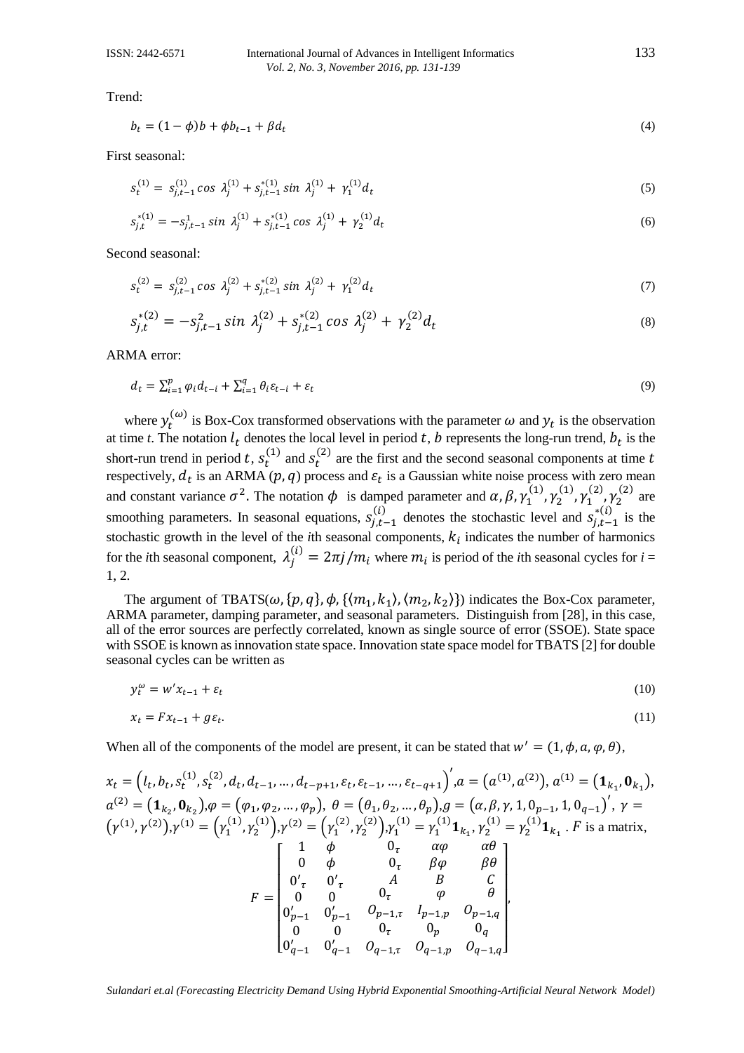## ISSN: 2442-6571 International Journal of Advances in Intelligent Informatics 133 *Vol. 2, No. 3, November 2016, pp. 131-139*

Trend:

$$
b_t = (1 - \phi)b + \phi b_{t-1} + \beta d_t \tag{4}
$$

First seasonal:

$$
s_t^{(1)} = s_{j,t-1}^{(1)} \cos \lambda_j^{(1)} + s_{j,t-1}^{*(1)} \sin \lambda_j^{(1)} + \gamma_1^{(1)} d_t \tag{5}
$$

$$
s_{j,t}^{*(1)} = -s_{j,t-1}^1 \sin \lambda_j^{(1)} + s_{j,t-1}^{*(1)} \cos \lambda_j^{(1)} + \gamma_2^{(1)} d_t \tag{6}
$$

Second seasonal:

$$
s_t^{(2)} = s_{j,t-1}^{(2)} \cos \lambda_j^{(2)} + s_{j,t-1}^{*(2)} \sin \lambda_j^{(2)} + \gamma_1^{(2)} d_t \tag{7}
$$

$$
s_{j,t}^{*(2)} = -s_{j,t-1}^2 \sin \lambda_j^{(2)} + s_{j,t-1}^{*(2)} \cos \lambda_j^{(2)} + \gamma_2^{(2)} d_t
$$
\n(8)

ARMA error:

$$
d_t = \sum_{i=1}^p \varphi_i d_{t-i} + \sum_{i=1}^q \theta_i \varepsilon_{t-i} + \varepsilon_t \tag{9}
$$

where  $y_t^{(\omega)}$  is Box-Cox transformed observations with the parameter  $\omega$  and  $y_t$  is the observation at time *t*. The notation  $l_t$  denotes the local level in period *t*, *b* represents the long-run trend,  $b_t$  is the short-run trend in period t,  $s_t^{(1)}$  and  $s_t^{(2)}$  are the first and the second seasonal components at time t respectively,  $d_t$  is an ARMA ( $p$ ,  $q$ ) process and  $\varepsilon_t$  is a Gaussian white noise process with zero mean and constant variance  $\sigma^2$ . The notation  $\phi$  is damped parameter and  $\alpha$ ,  $\beta$ ,  $\gamma_1^{(1)}$ ,  $\gamma_2^{(1)}$ ,  $\gamma_1^{(2)}$ ,  $\gamma_2^{(2)}$  are smoothing parameters. In seasonal equations,  $s_{j,t-1}^{(i)}$  denotes the stochastic level and  $s_{j,t-1}^{*(i)}$  is the stochastic growth in the level of the *i*th seasonal components,  $k_i$  indicates the number of harmonics for the *i*th seasonal component,  $\lambda_j^{(i)} = 2\pi j/m_i$  where  $m_i$  is period of the *i*th seasonal cycles for  $i =$ 1, 2.

The argument of TBATS( $\omega$ , { $p$ ,  $q$ },  $\phi$ , { $\langle m_1, k_1 \rangle$ ,  $\langle m_2, k_2 \rangle$ }) indicates the Box-Cox parameter, ARMA parameter, damping parameter, and seasonal parameters. Distinguish from [28], in this case, all of the error sources are perfectly correlated, known as single source of error (SSOE). State space with SSOE is known as innovation state space. Innovation state space model for TBATS [2] for double seasonal cycles can be written as

$$
y_t^{\omega} = w' x_{t-1} + \varepsilon_t \tag{10}
$$

$$
x_t = F x_{t-1} + g \varepsilon_t. \tag{11}
$$

When all of the components of the model are present, it can be stated that  $w' = (1, \phi, a, \phi, \theta)$ ,

$$
x_{t} = (l_{t}, b_{t}, s_{t}^{(1)}, s_{t}^{(2)}, d_{t}, d_{t-1}, ..., d_{t-p+1}, \varepsilon_{t}, \varepsilon_{t-1}, ..., \varepsilon_{t-q+1})', a = (a^{(1)}, a^{(2)}), a^{(1)} = (1_{k_{1}}, 0_{k_{1}}),
$$
  
\n
$$
a^{(2)} = (1_{k_{2}}, 0_{k_{2}}), \varphi = (\varphi_{1}, \varphi_{2}, ..., \varphi_{p}), \theta = (\theta_{1}, \theta_{2}, ..., \theta_{p}), g = (\alpha, \beta, \gamma, 1, 0_{p-1}, 1, 0_{q-1})', \gamma = (\gamma^{(1)}, \gamma^{(2)}), \gamma^{(1)} = (\gamma_{1}^{(1)}, \gamma_{2}^{(1)}), \gamma^{(2)} = (\gamma_{1}^{(2)}, \gamma_{2}^{(2)}), \gamma_{1}^{(1)} = \gamma_{1}^{(1)}1_{k_{1}}, \gamma_{2}^{(1)} = \gamma_{2}^{(1)}1_{k_{1}}. \ F \text{ is a matrix},
$$
  
\n
$$
F = \begin{bmatrix} 1 & \phi & 0_{\tau} & \alpha\phi & \alpha\theta \\ 0 & \phi & 0_{\tau} & \beta\phi & \beta\theta \\ 0'_{\tau} & 0'_{\tau} & A & B & C \\ 0'_{\tau} & 0'_{\tau} & 0_{\tau-1} & \theta_{p-1,\tau} & \theta_{p-1,\eta} \\ 0'_{\tau-1} & 0'_{\tau-1} & 0_{\tau-1} & 0_{\tau-1,\rho} & 0_{\eta} \\ 0'_{q-1} & 0'_{q-1} & 0_{q-1,\tau} & 0_{q-1,\rho} & 0_{q-1,\eta} \end{bmatrix},
$$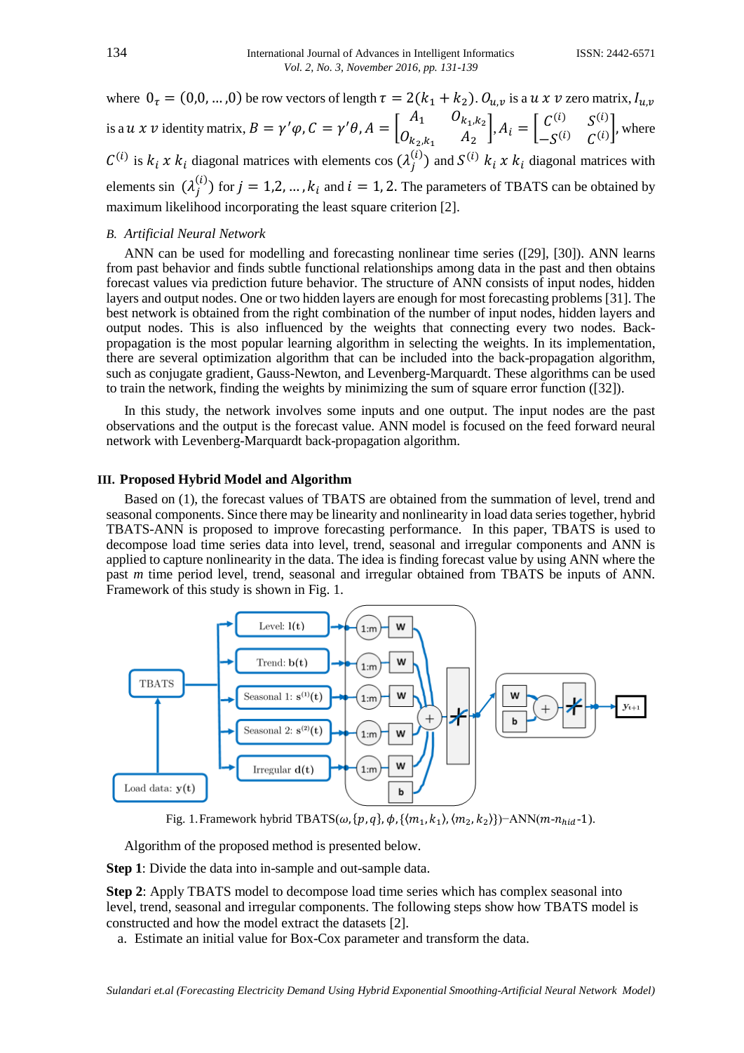where  $0_{\tau} = (0, 0, ..., 0)$  be row vectors of length  $\tau = 2(k_1 + k_2)$ .  $0_{u,v}$  is a  $u \times v$  zero matrix,  $l_{u,v}$ is a  $u \times v$  identity matrix,  $B = \gamma' \varphi$ ,  $C = \gamma' \theta$ ,  $A = \begin{bmatrix} A_1 & 0_{k_1,k_2} \\ 0 & A \end{bmatrix}$  $\begin{bmatrix} A_1 & O_{k_1,k_2} \\ O_{k_2,k_1} & A_2 \end{bmatrix}$ ,  $A_i = \begin{bmatrix} C^{(i)} & S^{(i)} \\ -S^{(i)} & C^{(i)} \end{bmatrix}$  $\begin{bmatrix} -S^{(i)} & S^{(i)} \end{bmatrix}$ , where  $C^{(i)}$  is  $k_i \times k_i$  diagonal matrices with elements cos  $(\lambda_j^{(i)})$  and  $S^{(i)}$   $k_i \times k_i$  diagonal matrices with elements sin  $(\lambda_j^{(i)})$  for  $j = 1, 2, ..., k_i$  and  $i = 1, 2$ . The parameters of TBATS can be obtained by maximum likelihood incorporating the least square criterion [2].

## *B. Artificial Neural Network*

ANN can be used for modelling and forecasting nonlinear time series ([29], [30]). ANN learns from past behavior and finds subtle functional relationships among data in the past and then obtains forecast values via prediction future behavior. The structure of ANN consists of input nodes, hidden layers and output nodes. One or two hidden layers are enough for most forecasting problems [31]. The best network is obtained from the right combination of the number of input nodes, hidden layers and output nodes. This is also influenced by the weights that connecting every two nodes. Backpropagation is the most popular learning algorithm in selecting the weights. In its implementation, there are several optimization algorithm that can be included into the back-propagation algorithm, such as conjugate gradient, Gauss-Newton, and Levenberg-Marquardt. These algorithms can be used to train the network, finding the weights by minimizing the sum of square error function ([32]).

In this study, the network involves some inputs and one output. The input nodes are the past observations and the output is the forecast value. ANN model is focused on the feed forward neural network with Levenberg-Marquardt back-propagation algorithm.

# **III. Proposed Hybrid Model and Algorithm**

Based on (1), the forecast values of TBATS are obtained from the summation of level, trend and seasonal components. Since there may be linearity and nonlinearity in load data series together, hybrid TBATS-ANN is proposed to improve forecasting performance. In this paper, TBATS is used to decompose load time series data into level, trend, seasonal and irregular components and ANN is applied to capture nonlinearity in the data. The idea is finding forecast value by using ANN where the past *m* time period level, trend, seasonal and irregular obtained from TBATS be inputs of ANN. Framework of this study is shown in Fig. 1.



Fig. 1. Framework hybrid TBATS( $\omega$ , { $p$ ,  $q$ },  $\phi$ , { $\langle m_1, k_1 \rangle$ ,  $\langle m_2, k_2 \rangle$ })-ANN( $m$ - $n_{hid}$ -1).

Algorithm of the proposed method is presented below.

**Step 1**: Divide the data into in-sample and out-sample data.

**Step 2**: Apply TBATS model to decompose load time series which has complex seasonal into level, trend, seasonal and irregular components. The following steps show how TBATS model is constructed and how the model extract the datasets [2].

a. Estimate an initial value for Box-Cox parameter and transform the data.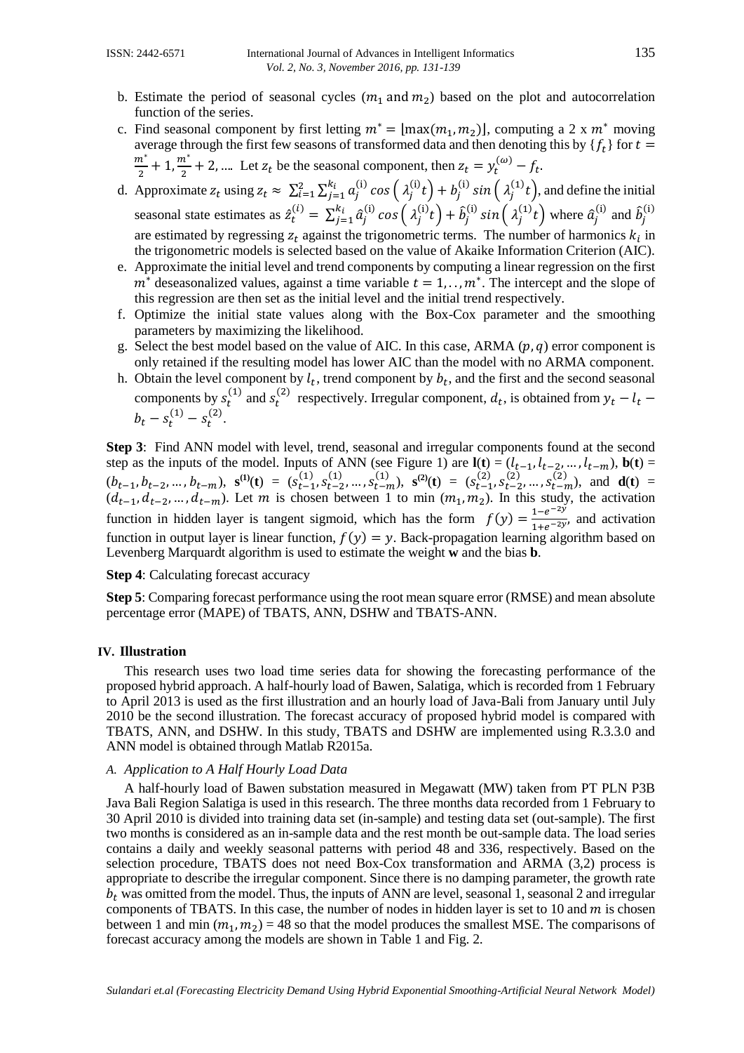- b. Estimate the period of seasonal cycles  $(m_1 \text{ and } m_2)$  based on the plot and autocorrelation function of the series.
- c. Find seasonal component by first letting  $m^* = [\max(m_1, m_2)]$ , computing a 2 x  $m^*$  moving average through the first few seasons of transformed data and then denoting this by  $\{f_t\}$  for  $t =$  $m^*$  $\frac{n^*}{2}+1,\frac{m^*}{2}$  $\frac{n^2}{2}$  + 2, .... Let  $z_t$  be the seasonal component, then  $z_t = y_t^{(\omega)} - f_t$ .
- d. Approximate  $z_t$  using  $z_t \approx \sum_{i=1}^2 \sum_{j=1}^{k_i} a_j^{(i)} \cos\left(\lambda_j^{(i)} t\right) + b_j^{(i)} \sin\left(\lambda_j^{(1)} t\right)$ , and define the initial seasonal state estimates as  $\hat{z}_t^{(i)} = \sum_{j=1}^{k_i} \hat{a}_j^{(i)} \cos\left(\lambda_j^{(i)} t\right) + \hat{b}_j^{(i)}$  $\int_{j=1}^{k_i} \hat{a}_j^{(i)} \cos\left(\lambda_j^{(i)}t\right) + \hat{b}_j^{(i)} \sin\left(\lambda_j^{(1)}t\right)$  where  $\hat{a}_j^{(i)}$  and  $\hat{b}_j^{(i)}$ (i) are estimated by regressing  $z_t$  against the trigonometric terms. The number of harmonics  $k_i$  in the trigonometric models is selected based on the value of Akaike Information Criterion (AIC).
- e. Approximate the initial level and trend components by computing a linear regression on the first  $m^*$  deseasonalized values, against a time variable  $t = 1, \ldots, m^*$ . The intercept and the slope of this regression are then set as the initial level and the initial trend respectively.
- f. Optimize the initial state values along with the Box-Cox parameter and the smoothing parameters by maximizing the likelihood.
- g. Select the best model based on the value of AIC. In this case, ARMA  $(p, q)$  error component is only retained if the resulting model has lower AIC than the model with no ARMA component.
- h. Obtain the level component by  $l_t$ , trend component by  $b_t$ , and the first and the second seasonal components by  $s_t^{(1)}$  and  $s_t^{(2)}$  respectively. Irregular component,  $d_t$ , is obtained from  $y_t - l_t$  –  $b_t - s_t^{(1)} - s_t^{(2)}$ .

**Step 3**: Find ANN model with level, trend, seasonal and irregular components found at the second step as the inputs of the model. Inputs of ANN (see Figure 1) are  $\mathbf{l}(\mathbf{t}) = (l_{t-1}, l_{t-2}, ..., l_{t-m})$ ,  $\mathbf{b}(\mathbf{t}) =$  $(b_{t-1}, b_{t-2}, ..., b_{t-m})$ ,  $\mathbf{s}^{(1)}(\mathbf{t}) = (s_{t-1}^{(1)}, s_{t-2}^{(1)}, ..., s_{t-m}^{(1)})$ ,  $\mathbf{s}^{(2)}(\mathbf{t}) = (s_{t-1}^{(2)}, s_{t-2}^{(2)}, ..., s_{t-m}^{(2)})$ , and  $\mathbf{d}(\mathbf{t}) =$  $(d_{t-1}, d_{t-2}, ..., d_{t-m})$ . Let m is chosen between 1 to min  $(m_1, m_2)$ . In this study, the activation function in hidden layer is tangent sigmoid, which has the form  $f(y) = \frac{1-e^{-2y}}{1+e^{-2y}}$  $\frac{1-e^{-t}}{1+e^{-2y}}$ , and activation function in output layer is linear function,  $f(y) = y$ . Back-propagation learning algorithm based on Levenberg Marquardt algorithm is used to estimate the weight **w** and the bias **b**.

**Step 4**: Calculating forecast accuracy

**Step 5**: Comparing forecast performance using the root mean square error (RMSE) and mean absolute percentage error (MAPE) of TBATS, ANN, DSHW and TBATS-ANN.

#### **IV. Illustration**

This research uses two load time series data for showing the forecasting performance of the proposed hybrid approach. A half-hourly load of Bawen, Salatiga, which is recorded from 1 February to April 2013 is used as the first illustration and an hourly load of Java-Bali from January until July 2010 be the second illustration. The forecast accuracy of proposed hybrid model is compared with TBATS, ANN, and DSHW. In this study, TBATS and DSHW are implemented using R.3.3.0 and ANN model is obtained through Matlab R2015a.

## *A. Application to A Half Hourly Load Data*

A half-hourly load of Bawen substation measured in Megawatt (MW) taken from PT PLN P3B Java Bali Region Salatiga is used in this research. The three months data recorded from 1 February to 30 April 2010 is divided into training data set (in-sample) and testing data set (out-sample). The first two months is considered as an in-sample data and the rest month be out-sample data. The load series contains a daily and weekly seasonal patterns with period 48 and 336, respectively. Based on the selection procedure, TBATS does not need Box-Cox transformation and ARMA (3,2) process is appropriate to describe the irregular component. Since there is no damping parameter, the growth rate  $b_t$  was omitted from the model. Thus, the inputs of ANN are level, seasonal 1, seasonal 2 and irregular components of TBATS. In this case, the number of nodes in hidden layer is set to 10 and  $m$  is chosen between 1 and min  $(m_1, m_2) = 48$  so that the model produces the smallest MSE. The comparisons of forecast accuracy among the models are shown in Table 1 and Fig. 2.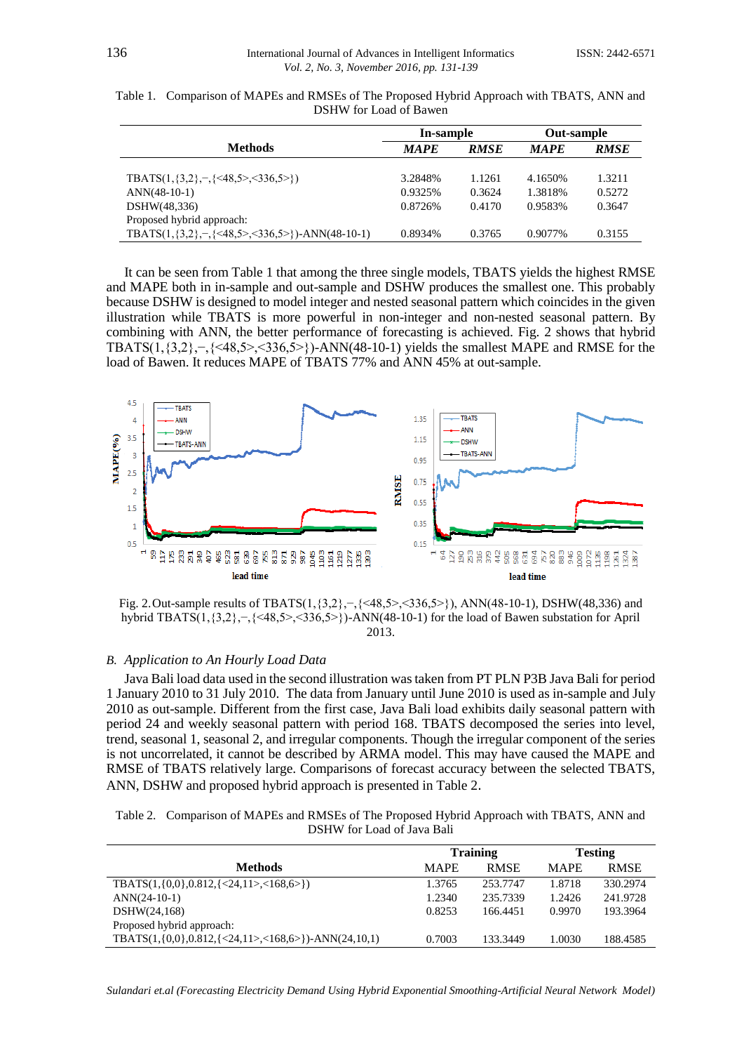|                                                                          | In-sample   |             | Out-sample  |             |
|--------------------------------------------------------------------------|-------------|-------------|-------------|-------------|
| <b>Methods</b>                                                           | <b>MAPE</b> | <b>RMSE</b> | <b>MAPE</b> | <b>RMSE</b> |
| TBATS $(1, \{3, 2\}, \neg, \{\leq 48, 5\geq \leq 336, 5\geq \})$         | 3.2848%     | 1.1261      | 4.1650\%    | 1.3211      |
| $ANN(48-10-1)$                                                           | 0.9325%     | 0.3624      | 1.3818%     | 0.5272      |
| DSHW(48,336)                                                             | 0.8726%     | 0.4170      | 0.9583%     | 0.3647      |
| Proposed hybrid approach:                                                |             |             |             |             |
| TBATS $(1,\{3,2\}, -\{\leq 48,5\geq \leq 336,5\geq \})$ -ANN $(48-10-1)$ | 0.8934%     | 0.3765      | 0.9077%     | 0.3155      |

Table 1. Comparison of MAPEs and RMSEs of The Proposed Hybrid Approach with TBATS, ANN and DSHW for Load of Bawen

It can be seen from Table 1 that among the three single models, TBATS yields the highest RMSE and MAPE both in in-sample and out-sample and DSHW produces the smallest one. This probably because DSHW is designed to model integer and nested seasonal pattern which coincides in the given illustration while TBATS is more powerful in non-integer and non-nested seasonal pattern. By combining with ANN, the better performance of forecasting is achieved. Fig. 2 shows that hybrid TBATS(1,{3,2},−,{<48,5>,<336,5>})-ANN(48-10-1) yields the smallest MAPE and RMSE for the load of Bawen. It reduces MAPE of TBATS 77% and ANN 45% at out-sample.



Fig. 2.Out-sample results of TBATS(1,{3,2},−,{<48,5>,<336,5>}), ANN(48-10-1), DSHW(48,336) and hybrid TBATS(1,{3,2},−,{<48,5>,<336,5>})-ANN(48-10-1) for the load of Bawen substation for April 2013.

# *B. Application to An Hourly Load Data*

Java Bali load data used in the second illustration was taken from PT PLN P3B Java Bali for period 1 January 2010 to 31 July 2010. The data from January until June 2010 is used as in-sample and July 2010 as out-sample. Different from the first case, Java Bali load exhibits daily seasonal pattern with period 24 and weekly seasonal pattern with period 168. TBATS decomposed the series into level, trend, seasonal 1, seasonal 2, and irregular components. Though the irregular component of the series is not uncorrelated, it cannot be described by ARMA model. This may have caused the MAPE and RMSE of TBATS relatively large. Comparisons of forecast accuracy between the selected TBATS, ANN, DSHW and proposed hybrid approach is presented in Table 2.

| Table 2. Comparison of MAPEs and RMSEs of The Proposed Hybrid Approach with TBATS, ANN and |
|--------------------------------------------------------------------------------------------|
| DSHW for Load of Java Bali                                                                 |

|                                                                | <b>Training</b> |             | <b>Testing</b> |             |
|----------------------------------------------------------------|-----------------|-------------|----------------|-------------|
| <b>Methods</b>                                                 | <b>MAPE</b>     | <b>RMSE</b> | <b>MAPE</b>    | <b>RMSE</b> |
| $TBATS(1,\{0,0\},0.812,\{<24,11>,<168,6>\})$                   | 1.3765          | 253.7747    | 1.8718         | 330.2974    |
| $ANN(24-10-1)$                                                 | 1.2340          | 235,7339    | 1.2426         | 241.9728    |
| DSHW(24,168)                                                   | 0.8253          | 166.4451    | 0.9970         | 193.3964    |
| Proposed hybrid approach:                                      |                 |             |                |             |
| TBATS $(1,\{0,0\},0.812,\{<24,11>,<168,6>\})$ -ANN $(24,10,1)$ | 0.7003          | 133.3449    | 1.0030         | 188.4585    |

*Sulandari et.al (Forecasting Electricity Demand Using Hybrid Exponential Smoothing-Artificial Neural Network Model)*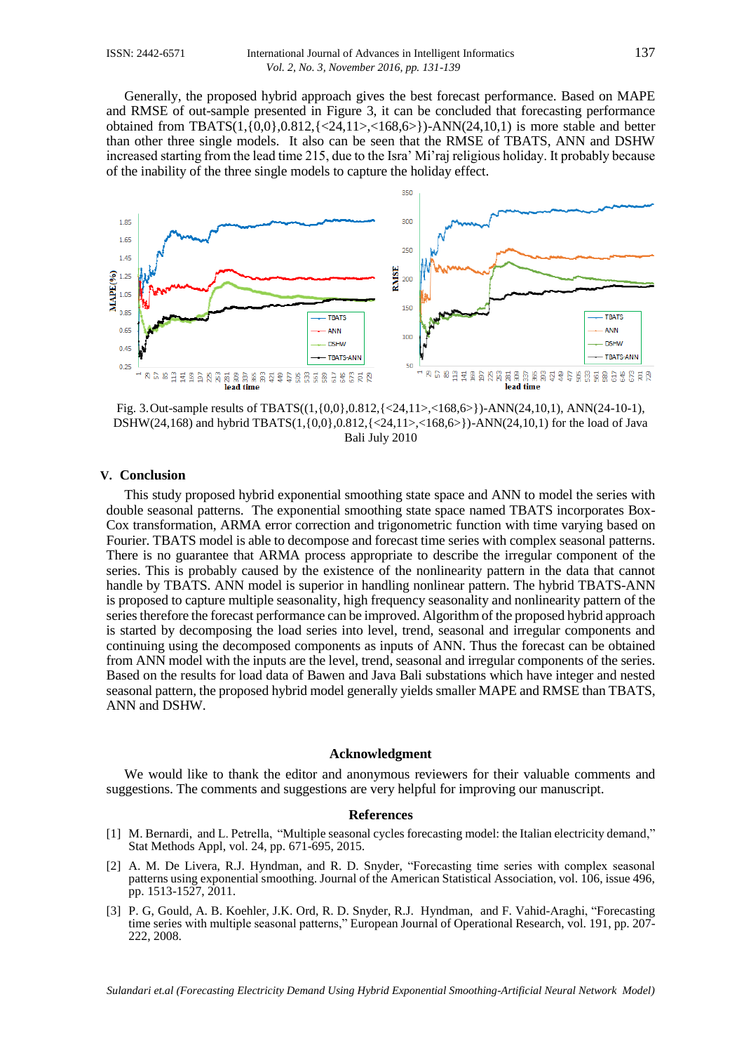Generally, the proposed hybrid approach gives the best forecast performance. Based on MAPE and RMSE of out-sample presented in Figure 3, it can be concluded that forecasting performance obtained from TBATS $(1,\{0,0\},0.812,\{<24,11><168,6>\\}$ -ANN $(24,10,1)$  is more stable and better than other three single models. It also can be seen that the RMSE of TBATS, ANN and DSHW increased starting from the lead time 215, due to the Isra' Mi'raj religious holiday. It probably because of the inability of the three single models to capture the holiday effect.



Fig. 3.Out-sample results of TBATS((1,{0,0},0.812,{<24,11>,<168,6>})-ANN(24,10,1), ANN(24-10-1), DSHW(24,168) and hybrid TBATS(1,{0,0},0.812,{<24,11>,<168,6>})-ANN(24,10,1) for the load of Java Bali July 2010

#### **V. Conclusion**

This study proposed hybrid exponential smoothing state space and ANN to model the series with double seasonal patterns. The exponential smoothing state space named TBATS incorporates Box-Cox transformation, ARMA error correction and trigonometric function with time varying based on Fourier. TBATS model is able to decompose and forecast time series with complex seasonal patterns. There is no guarantee that ARMA process appropriate to describe the irregular component of the series. This is probably caused by the existence of the nonlinearity pattern in the data that cannot handle by TBATS. ANN model is superior in handling nonlinear pattern. The hybrid TBATS-ANN is proposed to capture multiple seasonality, high frequency seasonality and nonlinearity pattern of the series therefore the forecast performance can be improved. Algorithm of the proposed hybrid approach is started by decomposing the load series into level, trend, seasonal and irregular components and continuing using the decomposed components as inputs of ANN. Thus the forecast can be obtained from ANN model with the inputs are the level, trend, seasonal and irregular components of the series. Based on the results for load data of Bawen and Java Bali substations which have integer and nested seasonal pattern, the proposed hybrid model generally yields smaller MAPE and RMSE than TBATS, ANN and DSHW.

#### **Acknowledgment**

We would like to thank the editor and anonymous reviewers for their valuable comments and suggestions. The comments and suggestions are very helpful for improving our manuscript.

# **References**

- [1] M. Bernardi, and L. Petrella, "Multiple seasonal cycles forecasting model: the Italian electricity demand," Stat Methods Appl, vol. 24, pp. 671-695, 2015.
- [2] A. M. De Livera, R.J. Hyndman, and R. D. Snyder, "Forecasting time series with complex seasonal patterns using exponential smoothing. Journal of the American Statistical Association, vol. 106, issue 496, pp. 1513-1527, 2011.
- [3] P. G, Gould, A. B. Koehler, J.K. Ord, R. D. Snyder, R.J. Hyndman, and F. Vahid-Araghi, "Forecasting time series with multiple seasonal patterns," European Journal of Operational Research, vol. 191, pp. 207- 222, 2008.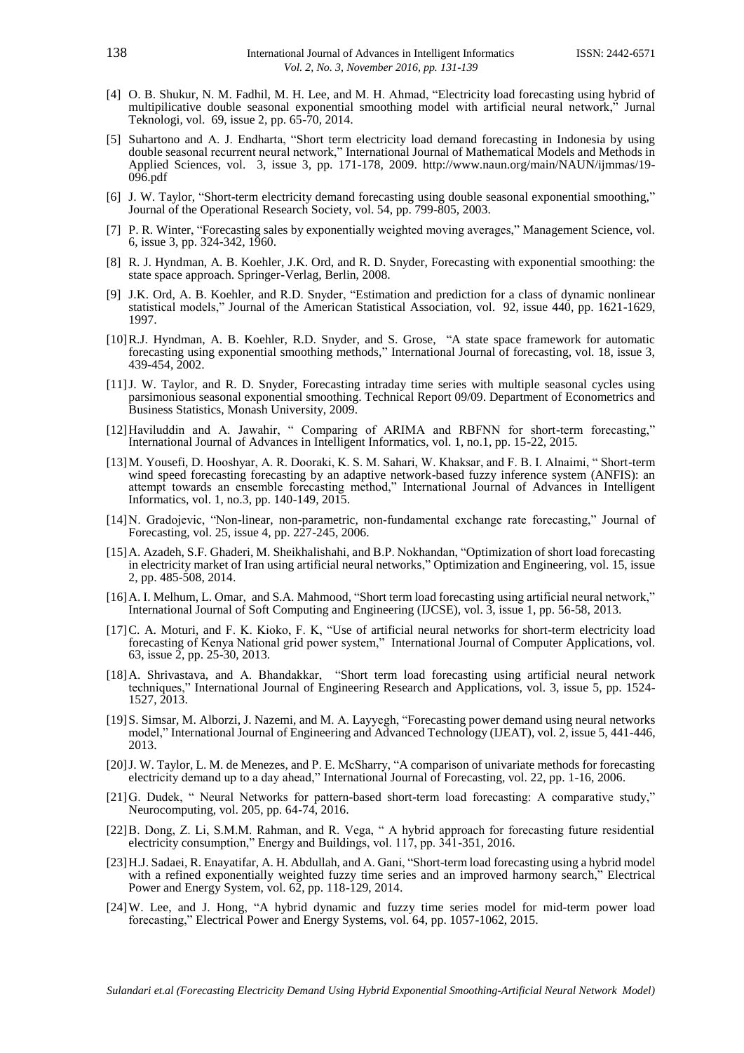- [4] O. B. Shukur, N. M. Fadhil, M. H. Lee, and M. H. Ahmad, "Electricity load forecasting using hybrid of multipilicative double seasonal exponential smoothing model with artificial neural network," Jurnal Teknologi, vol. 69, issue 2, pp. 65-70, 2014.
- [5] Suhartono and A. J. Endharta, "Short term electricity load demand forecasting in Indonesia by using double seasonal recurrent neural network," International Journal of Mathematical Models and Methods in Applied Sciences, vol. 3, issue 3, pp. 171-178, 2009. http://www.naun.org/main/NAUN/ijmmas/19- 096.pdf
- [6] J. W. Taylor, "Short-term electricity demand forecasting using double seasonal exponential smoothing," Journal of the Operational Research Society, vol. 54, pp. 799-805, 2003.
- [7] P. R. Winter, "Forecasting sales by exponentially weighted moving averages," Management Science, vol. 6, issue 3, pp. 324-342, 1960.
- [8] R. J. Hyndman, A. B. Koehler, J.K. Ord, and R. D. Snyder, Forecasting with exponential smoothing: the state space approach. Springer-Verlag, Berlin, 2008.
- [9] J.K. Ord, A. B. Koehler, and R.D. Snyder, "Estimation and prediction for a class of dynamic nonlinear statistical models," Journal of the American Statistical Association, vol. 92, issue 440, pp. 1621-1629, 1997.
- [10]R.J. Hyndman, A. B. Koehler, R.D. Snyder, and S. Grose, "A state space framework for automatic forecasting using exponential smoothing methods," International Journal of forecasting, vol. 18, issue 3, 439-454, 2002.
- [11]J. W. Taylor, and R. D. Snyder, Forecasting intraday time series with multiple seasonal cycles using parsimonious seasonal exponential smoothing. Technical Report 09/09. Department of Econometrics and Business Statistics, Monash University, 2009.
- [12]Haviluddin and A. Jawahir, " Comparing of ARIMA and RBFNN for short-term forecasting," International Journal of Advances in Intelligent Informatics, vol. 1, no.1, pp. 15-22, 2015.
- [13]M. Yousefi, D. Hooshyar, A. R. Dooraki, K. S. M. Sahari, W. Khaksar, and F. B. I. Alnaimi, " Short-term wind speed forecasting forecasting by an adaptive network-based fuzzy inference system (ANFIS): an attempt towards an ensemble forecasting method," International Journal of Advances in Intelligent Informatics, vol. 1, no.3, pp. 140-149, 2015.
- [14]N. Gradojevic, "Non-linear, non-parametric, non-fundamental exchange rate forecasting," Journal of Forecasting, vol. 25, issue 4, pp. 227-245, 2006.
- [15]A. Azadeh, S.F. Ghaderi, M. Sheikhalishahi, and B.P. Nokhandan, "Optimization of short load forecasting in electricity market of Iran using artificial neural networks," Optimization and Engineering, vol. 15, issue 2, pp. 485-508, 2014.
- [16] A. I. Melhum, L. Omar, and S.A. Mahmood, "Short term load forecasting using artificial neural network," International Journal of Soft Computing and Engineering (IJCSE), vol. 3, issue 1, pp. 56-58, 2013.
- [17]C. A. Moturi, and F. K. Kioko, F. K, "Use of artificial neural networks for short-term electricity load forecasting of Kenya National grid power system," International Journal of Computer Applications, vol. 63, issue 2, pp. 25-30, 2013.
- [18]A. Shrivastava, and A. Bhandakkar, "Short term load forecasting using artificial neural network techniques," International Journal of Engineering Research and Applications, vol. 3, issue 5, pp. 1524- 1527, 2013.
- [19]S. Simsar, M. Alborzi, J. Nazemi, and M. A. Layyegh, "Forecasting power demand using neural networks model," International Journal of Engineering and Advanced Technology (IJEAT), vol. 2, issue 5, 441-446, 2013.
- [20]J. W. Taylor, L. M. de Menezes, and P. E. McSharry, "A comparison of univariate methods for forecasting electricity demand up to a day ahead," International Journal of Forecasting, vol. 22, pp. 1-16, 2006.
- [21]G. Dudek, " Neural Networks for pattern-based short-term load forecasting: A comparative study," Neurocomputing, vol. 205, pp. 64-74, 2016.
- [22]B. Dong, Z. Li, S.M.M. Rahman, and R. Vega, " A hybrid approach for forecasting future residential electricity consumption," Energy and Buildings, vol. 117, pp. 341-351, 2016.
- [23]H.J. Sadaei, R. Enayatifar, A. H. Abdullah, and A. Gani, "Short-term load forecasting using a hybrid model with a refined exponentially weighted fuzzy time series and an improved harmony search," Electrical Power and Energy System, vol. 62, pp. 118-129, 2014.
- [24]W. Lee, and J. Hong, "A hybrid dynamic and fuzzy time series model for mid-term power load forecasting," Electrical Power and Energy Systems, vol. 64, pp. 1057-1062, 2015.